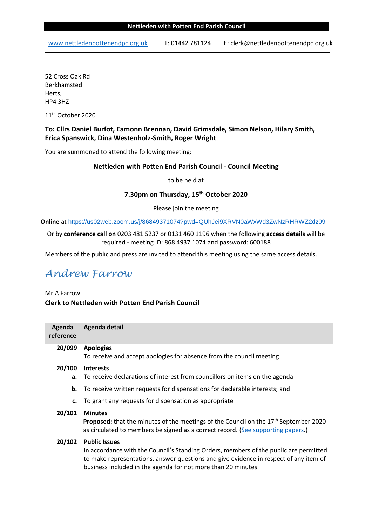www.nettledenpottenendpc.org.uk T: 01442 781124 E: clerk@nettledenpottenendpc.org.uk

52 Cross Oak Rd Berkhamsted Herts, HP4 3HZ

11<sup>th</sup> October 2020

# **To: Cllrs Daniel Burfot, Eamonn Brennan, David Grimsdale, Simon Nelson, Hilary Smith, Erica Spanswick, Dina Westenholz-Smith, Roger Wright**

You are summoned to attend the following meeting:

# **Nettleden with Potten End Parish Council - Council Meeting**

to be held at

# **7.30pm on Thursday, 15th October 2020**

## Please join the meeting

**Online** at https://us02web.zoom.us/j/86849371074?pwd=QUhJei9XRVN0aWxWd3ZwNzRHRWZ2dz09

# Or by **conference call on** 0203 481 5237 or 0131 460 1196 when the following **access details** will be required - meeting ID: 868 4937 1074 and password: 600188

Members of the public and press are invited to attend this meeting using the same access details.

# *Andrew Farrow*

Mr A Farrow **Clerk to Nettleden with Potten End Parish Council**

| Agenda detail                                                                                                                                                                                                                                                           |
|-------------------------------------------------------------------------------------------------------------------------------------------------------------------------------------------------------------------------------------------------------------------------|
| <b>Apologies</b><br>To receive and accept apologies for absence from the council meeting                                                                                                                                                                                |
| <b>Interests</b><br>To receive declarations of interest from councillors on items on the agenda                                                                                                                                                                         |
| To receive written requests for dispensations for declarable interests; and                                                                                                                                                                                             |
| c. To grant any requests for dispensation as appropriate                                                                                                                                                                                                                |
| <b>Minutes</b><br><b>Proposed:</b> that the minutes of the meetings of the Council on the $17th$ September 2020<br>as circulated to members be signed as a correct record. (See supporting papers.)                                                                     |
| <b>Public Issues</b><br>In accordance with the Council's Standing Orders, members of the public are permitted<br>to make representations, answer questions and give evidence in respect of any item of<br>business included in the agenda for not more than 20 minutes. |
|                                                                                                                                                                                                                                                                         |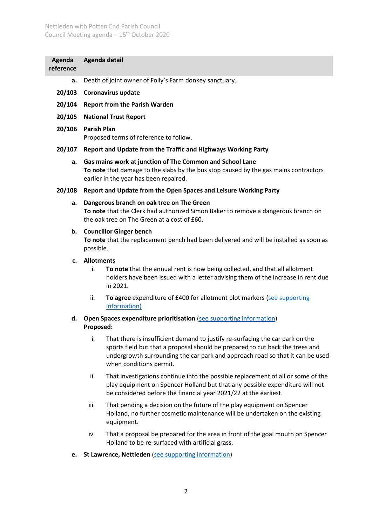| Agenda<br>reference | Agenda detail                                                                                                                                                                                                                                                                    |  |  |  |
|---------------------|----------------------------------------------------------------------------------------------------------------------------------------------------------------------------------------------------------------------------------------------------------------------------------|--|--|--|
| a.                  | Death of joint owner of Folly's Farm donkey sanctuary.                                                                                                                                                                                                                           |  |  |  |
| 20/103              | <b>Coronavirus update</b>                                                                                                                                                                                                                                                        |  |  |  |
| 20/104              | <b>Report from the Parish Warden</b>                                                                                                                                                                                                                                             |  |  |  |
| 20/105              | <b>National Trust Report</b>                                                                                                                                                                                                                                                     |  |  |  |
| 20/106              | <b>Parish Plan</b><br>Proposed terms of reference to follow.                                                                                                                                                                                                                     |  |  |  |
| 20/107              | Report and Update from the Traffic and Highways Working Party                                                                                                                                                                                                                    |  |  |  |
| а.                  | Gas mains work at junction of The Common and School Lane<br>To note that damage to the slabs by the bus stop caused by the gas mains contractors<br>earlier in the year has been repaired.                                                                                       |  |  |  |
| 20/108              | Report and Update from the Open Spaces and Leisure Working Party                                                                                                                                                                                                                 |  |  |  |
| a.                  | Dangerous branch on oak tree on The Green<br>To note that the Clerk had authorized Simon Baker to remove a dangerous branch on<br>the oak tree on The Green at a cost of £60.                                                                                                    |  |  |  |
| b.                  | <b>Councillor Ginger bench</b><br>To note that the replacement bench had been delivered and will be installed as soon as<br>possible.                                                                                                                                            |  |  |  |
| $c_{\cdot}$         | <b>Allotments</b>                                                                                                                                                                                                                                                                |  |  |  |
|                     | To note that the annual rent is now being collected, and that all allotment<br>i.<br>holders have been issued with a letter advising them of the increase in rent due<br>in 2021.                                                                                                |  |  |  |
|                     | To agree expenditure of £400 for allotment plot markers (see supporting<br>ii.<br>information)                                                                                                                                                                                   |  |  |  |
| d.                  | Open Spaces expenditure prioritisation (see supporting information)<br>Proposed:                                                                                                                                                                                                 |  |  |  |
|                     | i.<br>That there is insufficient demand to justify re-surfacing the car park on the<br>sports field but that a proposal should be prepared to cut back the trees and<br>undergrowth surrounding the car park and approach road so that it can be used<br>when conditions permit. |  |  |  |
|                     | That investigations continue into the possible replacement of all or some of the<br>ii.<br>play equipment on Spencer Holland but that any possible expenditure will not<br>be considered before the financial year 2021/22 at the earliest.                                      |  |  |  |
|                     | That pending a decision on the future of the play equipment on Spencer<br>iii.<br>Holland, no further cosmetic maintenance will be undertaken on the existing<br>equipment.                                                                                                      |  |  |  |
|                     | That a proposal be prepared for the area in front of the goal mouth on Spencer<br>iv.<br>Holland to be re-surfaced with artificial grass.                                                                                                                                        |  |  |  |
| e.                  | St Lawrence, Nettleden (see supporting information)                                                                                                                                                                                                                              |  |  |  |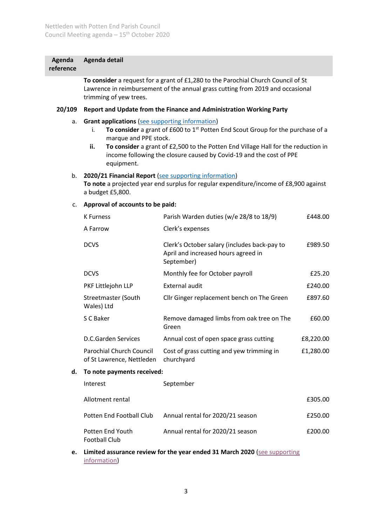#### **Agenda Agenda detail**

**reference**

**To consider** a request for a grant of £1,280 to the Parochial Church Council of St Lawrence in reimbursement of the annual grass cutting from 2019 and occasional trimming of yew trees.

### **20/109 Report and Update from the Finance and Administration Working Party**

- a. **Grant applications** [\(see supporting information\)](https://nettledenpottenendpc.org.uk/pottenwp/wp-content/uploads/2020/10/20-109.a-grant-applications.pdf)
	- i. **To consider** a grant of £600 to 1<sup>st</sup> Potten End Scout Group for the purchase of a marque and PPE stock.
	- **ii. To consider** a grant of £2,500 to the Potten End Village Hall for the reduction in income following the closure caused by Covid-19 and the cost of PPE equipment.

#### b. **2020/21 Financial Report** [\(see supporting information\)](https://nettledenpottenendpc.org.uk/pottenwp/wp-content/uploads/2020/10/20-109.b-2020-21-Financial-Report.pdf)

**To note** a projected year end surplus for regular expenditure/income of £8,900 against a budget £5,800.

### c. **Approval of accounts to be paid:**

Potten End Youth Football Club

|    | <b>K</b> Furness                                      | Parish Warden duties (w/e 28/8 to 18/9)                                                           | £448.00   |  |
|----|-------------------------------------------------------|---------------------------------------------------------------------------------------------------|-----------|--|
|    | A Farrow                                              | Clerk's expenses                                                                                  |           |  |
|    | <b>DCVS</b>                                           | Clerk's October salary (includes back-pay to<br>April and increased hours agreed in<br>September) | £989.50   |  |
|    | <b>DCVS</b>                                           | Monthly fee for October payroll                                                                   | £25.20    |  |
|    | PKF Littlejohn LLP                                    | External audit                                                                                    | £240.00   |  |
|    | Streetmaster (South<br>Wales) Ltd                     | Cllr Ginger replacement bench on The Green                                                        | £897.60   |  |
|    | S C Baker                                             | Remove damaged limbs from oak tree on The<br>Green                                                | £60.00    |  |
|    | <b>D.C.Garden Services</b>                            | Annual cost of open space grass cutting                                                           | £8,220.00 |  |
|    | Parochial Church Council<br>of St Lawrence, Nettleden | Cost of grass cutting and yew trimming in<br>churchyard                                           | £1,280.00 |  |
| d. | To note payments received:                            |                                                                                                   |           |  |
|    | Interest                                              | September                                                                                         |           |  |
|    | Allotment rental                                      |                                                                                                   | £305.00   |  |
|    | Potten End Football Club                              | Annual rental for 2020/21 season                                                                  | £250.00   |  |

Annual rental for 2020/21 season **E200.00** 

**e. Limited assurance review for the year ended 31 March 2020** [\(see supporting](https://nettledenpottenendpc.org.uk/pottenwp/wp-content/uploads/2020/10/20-109.e-Limited-assurance-review-for-2019-20.pdf)  [information\)](https://nettledenpottenendpc.org.uk/pottenwp/wp-content/uploads/2020/10/20-109.e-Limited-assurance-review-for-2019-20.pdf)